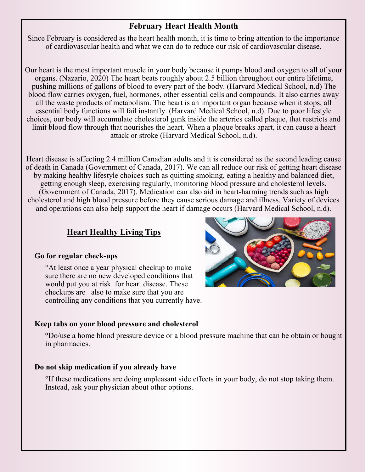## **February Heart Health Month**

Since February is considered as the heart health month, it is time to bring attention to the importance of cardiovascular health and what we can do to reduce our risk of cardiovascular disease.

Our heart is the most important muscle in your body because it pumps blood and oxygen to all of your organs. (Nazario, 2020) The heart beats roughly about 2.5 billion throughout our entire lifetime, pushing millions of gallons of blood to every part of the body. (Harvard Medical School, n.d) The blood flow carries oxygen, fuel, hormones, other essential cells and compounds. It also carries away all the waste products of metabolism. The heart is an important organ because when it stops, all essential body functions will fail instantly. (Harvard Medical School, n.d). Due to poor lifestyle choices, our body will accumulate cholesterol gunk inside the arteries called plaque, that restricts and limit blood flow through that nourishes the heart. When a plaque breaks apart, it can cause a heart attack or stroke (Harvard Medical School, n.d).

Heart disease is affecting 2.4 million Canadian adults and it is considered as the second leading cause of death in Canada (Government of Canada, 2017). We can all reduce our risk of getting heart disease by making healthy lifestyle choices such as quitting smoking, eating a healthy and balanced diet, getting enough sleep, exercising regularly, monitoring blood pressure and cholesterol levels. (Government of Canada, 2017). Medication can also aid in heart-harming trends such as high cholesterol and high blood pressure before they cause serious damage and illness. Variety of devices and operations can also help support the heart if damage occurs (Harvard Medical School, n.d).

# **Heart Healthy Living Tips**

## **Go for regular check-ups**

°At least once a year physical checkup to make sure there are no new developed conditions that would put you at risk for heart disease. These checkups are also to make sure that you are controlling any conditions that you currently have.

## **Keep tabs on your blood pressure and cholesterol**

**°**Do/use a home blood pressure device or a blood pressure machine that can be obtain or bought in pharmacies.

## **Do not skip medication if you already have**

°If these medications are doing unpleasant side effects in your body, do not stop taking them. Instead, ask your physician about other options.

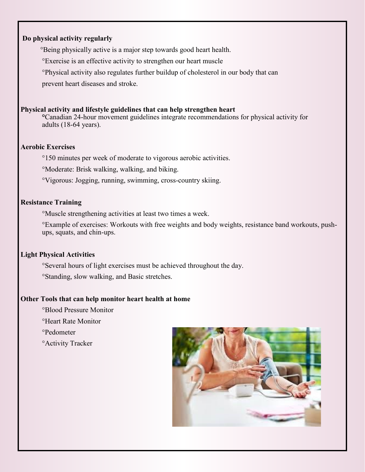#### **Do physical activity regularly**

°Being physically active is a major step towards good heart health.

°Exercise is an effective activity to strengthen our heart muscle

°Physical activity also regulates further buildup of cholesterol in our body that can

prevent heart diseases and stroke.

#### **Physical activity and lifestyle guidelines that can help strengthen heart**

**°**Canadian 24-hour movement guidelines integrate recommendations for physical activity for adults (18-64 years).

#### **Aerobic Exercises**

°150 minutes per week of moderate to vigorous aerobic activities.

°Moderate: Brisk walking, walking, and biking.

°Vigorous: Jogging, running, swimming, cross-country skiing.

#### **Resistance Training**

°Muscle strengthening activities at least two times a week.

°Example of exercises: Workouts with free weights and body weights, resistance band workouts, pushups, squats, and chin-ups.

#### **Light Physical Activities**

°Several hours of light exercises must be achieved throughout the day.

°Standing, slow walking, and Basic stretches.

#### **Other Tools that can help monitor heart health at home**

°Blood Pressure Monitor

°Heart Rate Monitor

°Pedometer

°Activity Tracker